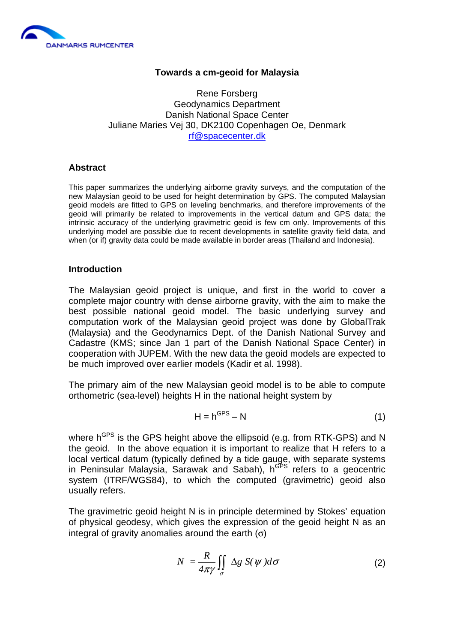

# **Towards a cm-geoid for Malaysia**

Rene Forsberg Geodynamics Department Danish National Space Center Juliane Maries Vej 30, DK2100 Copenhagen Oe, Denmark rf@spacecenter.dk

## **Abstract**

This paper summarizes the underlying airborne gravity surveys, and the computation of the new Malaysian geoid to be used for height determination by GPS. The computed Malaysian geoid models are fitted to GPS on leveling benchmarks, and therefore improvements of the geoid will primarily be related to improvements in the vertical datum and GPS data; the intrinsic accuracy of the underlying gravimetric geoid is few cm only. Improvements of this underlying model are possible due to recent developments in satellite gravity field data, and when (or if) gravity data could be made available in border areas (Thailand and Indonesia).

### **Introduction**

The Malaysian geoid project is unique, and first in the world to cover a complete major country with dense airborne gravity, with the aim to make the best possible national geoid model. The basic underlying survey and computation work of the Malaysian geoid project was done by GlobalTrak (Malaysia) and the Geodynamics Dept. of the Danish National Survey and Cadastre (KMS; since Jan 1 part of the Danish National Space Center) in cooperation with JUPEM. With the new data the geoid models are expected to be much improved over earlier models (Kadir et al. 1998).

The primary aim of the new Malaysian geoid model is to be able to compute orthometric (sea-level) heights H in the national height system by

$$
H = h^{GPS} - N \tag{1}
$$

where h<sup>GPS</sup> is the GPS height above the ellipsoid (e.g. from RTK-GPS) and N the geoid. In the above equation it is important to realize that H refers to a local vertical datum (typically defined by a tide gauge, with separate systems in Peninsular Malaysia, Sarawak and Sabah),  $h^{GFS}$  refers to a geocentric system (ITRF/WGS84), to which the computed (gravimetric) geoid also usually refers.

The gravimetric geoid height N is in principle determined by Stokes' equation of physical geodesy, which gives the expression of the geoid height N as an integral of gravity anomalies around the earth  $(σ)$ 

$$
N = \frac{R}{4\pi\gamma} \iint_{\sigma} \Delta g \ S(\psi) d\sigma \tag{2}
$$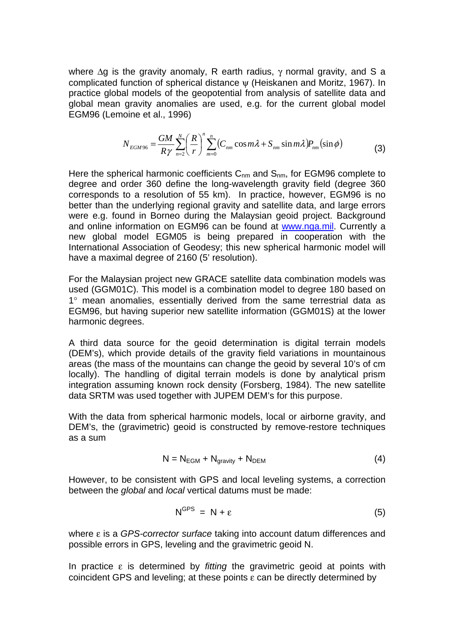where  $\Delta q$  is the gravity anomaly, R earth radius,  $\gamma$  normal gravity, and S a complicated function of spherical distance ψ (Heiskanen and Moritz, 1967). In practice global models of the geopotential from analysis of satellite data and global mean gravity anomalies are used, e.g. for the current global model EGM96 (Lemoine et al., 1996)

$$
N_{EGM96} = \frac{GM}{R\gamma} \sum_{n=2}^{N} \left(\frac{R}{r}\right)^n \sum_{m=0}^{n} \left(C_{nm} \cos m\lambda + S_{nm} \sin m\lambda\right) P_{nm}(\sin \phi)
$$
(3)

Here the spherical harmonic coefficients  $C_{nm}$  and  $S_{nm}$ , for EGM96 complete to degree and order 360 define the long-wavelength gravity field (degree 360 corresponds to a resolution of 55 km). In practice, however, EGM96 is no better than the underlying regional gravity and satellite data, and large errors were e.g. found in Borneo during the Malaysian geoid project. Background and online information on EGM96 can be found at www.nga.mil. Currently a new global model EGM05 is being prepared in cooperation with the International Association of Geodesy; this new spherical harmonic model will have a maximal degree of 2160 (5' resolution).

For the Malaysian project new GRACE satellite data combination models was used (GGM01C). This model is a combination model to degree 180 based on 1° mean anomalies, essentially derived from the same terrestrial data as EGM96, but having superior new satellite information (GGM01S) at the lower harmonic degrees.

A third data source for the geoid determination is digital terrain models (DEM's), which provide details of the gravity field variations in mountainous areas (the mass of the mountains can change the geoid by several 10's of cm locally). The handling of digital terrain models is done by analytical prism integration assuming known rock density (Forsberg, 1984). The new satellite data SRTM was used together with JUPEM DEM's for this purpose.

With the data from spherical harmonic models, local or airborne gravity, and DEM's, the (gravimetric) geoid is constructed by remove-restore techniques as a sum

$$
N = N_{EGM} + N_{gravity} + N_{DEM}
$$
 (4)

However, to be consistent with GPS and local leveling systems, a correction between the *global* and *local* vertical datums must be made:

$$
N^{GPS} = N + \varepsilon \tag{5}
$$

where ε is a *GPS-corrector surface* taking into account datum differences and possible errors in GPS, leveling and the gravimetric geoid N.

In practice ε is determined by *fitting* the gravimetric geoid at points with coincident GPS and leveling; at these points  $ε$  can be directly determined by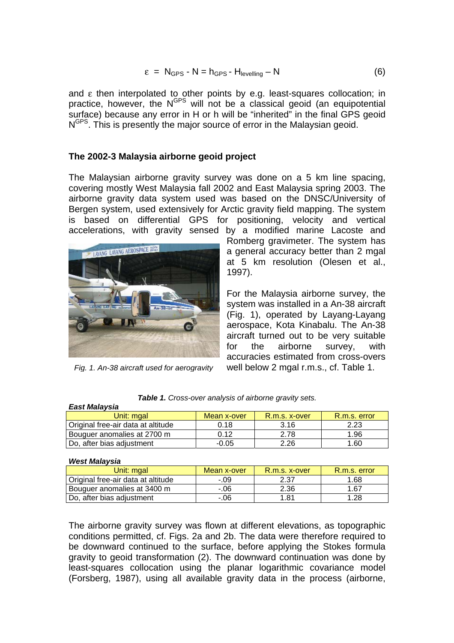$$
\varepsilon = N_{\text{GPS}} - N = h_{\text{GPS}} - H_{\text{levelling}} - N \tag{6}
$$

and ε then interpolated to other points by e.g. least-squares collocation; in practice, however, the N<sup>GPS</sup> will not be a classical geoid (an equipotential surface) because any error in H or h will be "inherited" in the final GPS geoid N<sup>GPS</sup>. This is presently the major source of error in the Malaysian geoid.

# **The 2002-3 Malaysia airborne geoid project**

The Malaysian airborne gravity survey was done on a 5 km line spacing, covering mostly West Malaysia fall 2002 and East Malaysia spring 2003. The airborne gravity data system used was based on the DNSC/University of Bergen system, used extensively for Arctic gravity field mapping. The system is based on differential GPS for positioning, velocity and vertical accelerations, with gravity sensed by a modified marine Lacoste and



*Fig. 1. An-38 aircraft used for aerogravity*

Romberg gravimeter. The system has a general accuracy better than 2 mgal at 5 km resolution (Olesen et al., 1997).

For the Malaysia airborne survey, the system was installed in a An-38 aircraft (Fig. 1), operated by Layang-Layang aerospace, Kota Kinabalu. The An-38 aircraft turned out to be very suitable for the airborne survey, with accuracies estimated from cross-overs well below 2 mgal r.m.s., cf. Table 1.

| ________________                   |             |               |              |  |  |
|------------------------------------|-------------|---------------|--------------|--|--|
| Unit: mɑal                         | Mean x-over | R.m.s. x-over | R.m.s. error |  |  |
| Original free-air data at altitude | 0.18        | 3.16          | 2.23         |  |  |
| Bouguer anomalies at 2700 m        | 0.12        | 2.78          | 1.96         |  |  |
| Do, after bias adjustment          | $-0.05$     | 2.26          | 1.60         |  |  |

*Table 1. Cross-over analysis of airborne gravity sets.* 

#### *West Malaysia*

*East Malaysia* 

| Unit: mgal                         | Mean x-over | R.m.s. x-over | R.m.s. error |
|------------------------------------|-------------|---------------|--------------|
| Original free-air data at altitude | - 09        | 2.37          | 1.68         |
| Bouguer anomalies at 3400 m        | -.06        | 2.36          | 1.67         |
| Do, after bias adjustment          | -.06        | 1.81          | 1.28         |

The airborne gravity survey was flown at different elevations, as topographic conditions permitted, cf. Figs. 2a and 2b. The data were therefore required to be downward continued to the surface, before applying the Stokes formula gravity to geoid transformation (2). The downward continuation was done by least-squares collocation using the planar logarithmic covariance model (Forsberg, 1987), using all available gravity data in the process (airborne,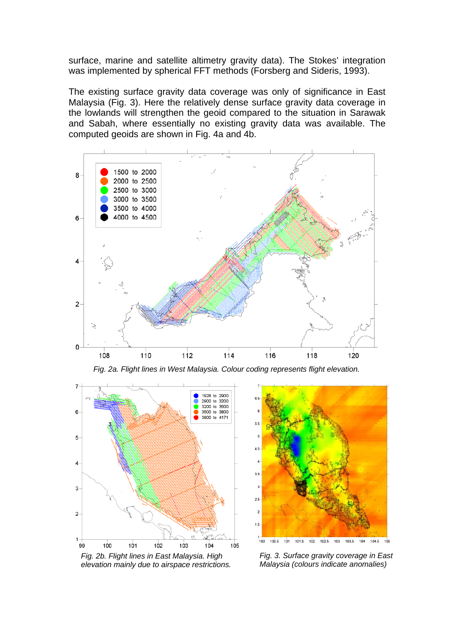surface, marine and satellite altimetry gravity data). The Stokes' integration was implemented by spherical FFT methods (Forsberg and Sideris, 1993).

The existing surface gravity data coverage was only of significance in East Malaysia (Fig. 3). Here the relatively dense surface gravity data coverage in the lowlands will strengthen the geoid compared to the situation in Sarawak and Sabah, where essentially no existing gravity data was available. The computed geoids are shown in Fig. 4a and 4b.



*Fig. 2a. Flight lines in West Malaysia. Colour coding represents flight elevation.* 



 $5.5$ 5  $4.5$  $3.5$  $\overline{a}$  $2.5$  $\overline{2}$ 1.5  $100$  $102$  $102.5$  $\frac{1}{103}$  $103.5$  $104.5$ 100.5 101  $101.5$ 104

*Fig. 2b. Flight lines in East Malaysia. High elevation mainly due to airspace restrictions.* 

*Fig. 3. Surface gravity coverage in East Malaysia (colours indicate anomalies)*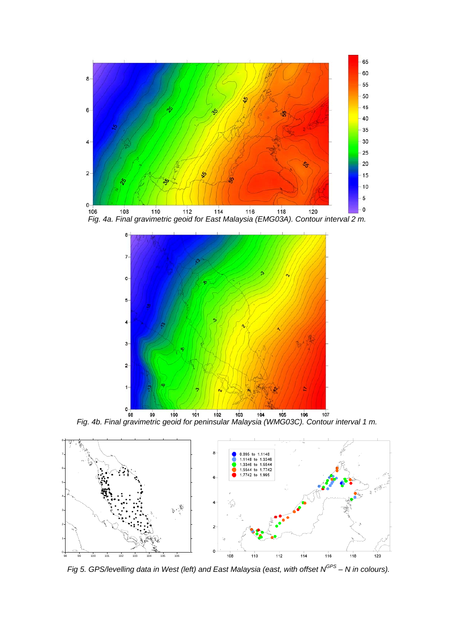





**Fig. 4b. Final gravimetric geoid for peninsular Malaysia (WMG03C). Contour interval 1 m.** 



*Fig 5. GPS/levelling data in West (left) and East Malaysia (east, with offset N<sup>GPS</sup> – N in colours).*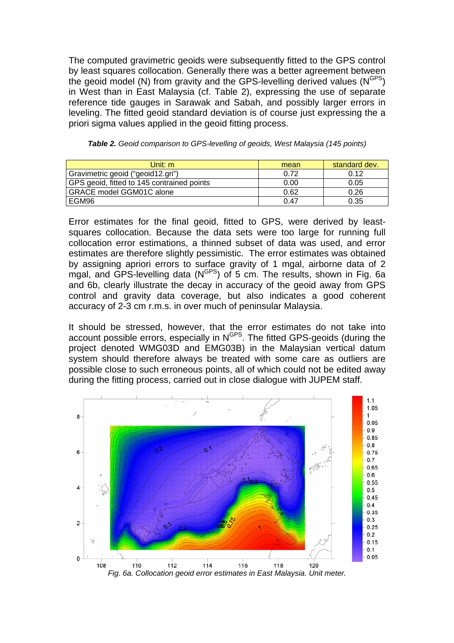The computed gravimetric geoids were subsequently fitted to the GPS control by least squares collocation. Generally there was a better agreement between the geoid model (N) from gravity and the GPS-levelling derived values  $(N<sup>GPS</sup>)$ in West than in East Malaysia (cf. Table 2), expressing the use of separate reference tide gauges in Sarawak and Sabah, and possibly larger errors in leveling. The fitted geoid standard deviation is of course just expressing the a priori sigma values applied in the geoid fitting process.

| Unit: $m$                                  | mean | standard dev. |
|--------------------------------------------|------|---------------|
| Gravimetric geoid ("geoid12.gri")          | 0.72 | 0.12          |
| GPS geoid, fitted to 145 contrained points | 0.00 | 0.05          |
| <b>GRACE model GGM01C alone</b>            | 0.62 | 0.26          |
| l EGM96                                    | 0.47 | 0.35          |

*Table 2. Geoid comparison to GPS-levelling of geoids, West Malaysia (145 points)*

Error estimates for the final geoid, fitted to GPS, were derived by leastsquares collocation. Because the data sets were too large for running full collocation error estimations, a thinned subset of data was used, and error estimates are therefore slightly pessimistic. The error estimates was obtained by assigning apriori errors to surface gravity of 1 mgal, airborne data of 2 mgal, and GPS-levelling data  $(N<sup>GPS</sup>)$  of 5 cm. The results, shown in Fig. 6a and 6b, clearly illustrate the decay in accuracy of the geoid away from GPS control and gravity data coverage, but also indicates a good coherent accuracy of 2-3 cm r.m.s. in over much of peninsular Malaysia.

It should be stressed, however, that the error estimates do not take into account possible errors, especially in N<sup>GPS</sup>. The fitted GPS-geoids (during the project denoted WMG03D and EMG03B) in the Malaysian vertical datum system should therefore always be treated with some care as outliers are possible close to such erroneous points, all of which could not be edited away during the fitting process, carried out in close dialogue with JUPEM staff.

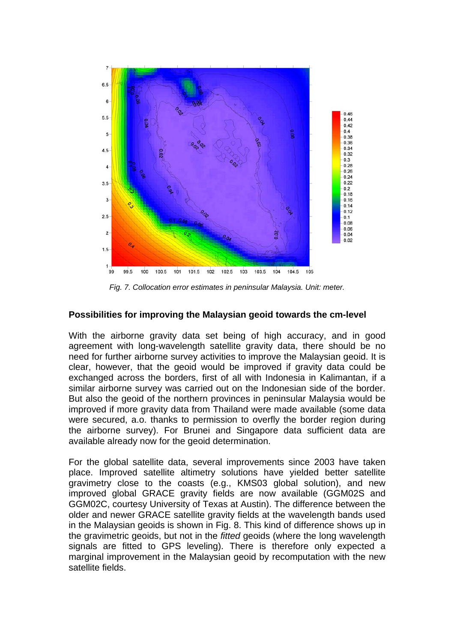

*Fig. 7. Collocation error estimates in peninsular Malaysia. Unit: meter.* 

## **Possibilities for improving the Malaysian geoid towards the cm-level**

With the airborne gravity data set being of high accuracy, and in good agreement with long-wavelength satellite gravity data, there should be no need for further airborne survey activities to improve the Malaysian geoid. It is clear, however, that the geoid would be improved if gravity data could be exchanged across the borders, first of all with Indonesia in Kalimantan, if a similar airborne survey was carried out on the Indonesian side of the border. But also the geoid of the northern provinces in peninsular Malaysia would be improved if more gravity data from Thailand were made available (some data were secured, a.o. thanks to permission to overfly the border region during the airborne survey). For Brunei and Singapore data sufficient data are available already now for the geoid determination.

For the global satellite data, several improvements since 2003 have taken place. Improved satellite altimetry solutions have yielded better satellite gravimetry close to the coasts (e.g., KMS03 global solution), and new improved global GRACE gravity fields are now available (GGM02S and GGM02C, courtesy University of Texas at Austin). The difference between the older and newer GRACE satellite gravity fields at the wavelength bands used in the Malaysian geoids is shown in Fig. 8. This kind of difference shows up in the gravimetric geoids, but not in the *fitted* geoids (where the long wavelength signals are fitted to GPS leveling). There is therefore only expected a marginal improvement in the Malaysian geoid by recomputation with the new satellite fields.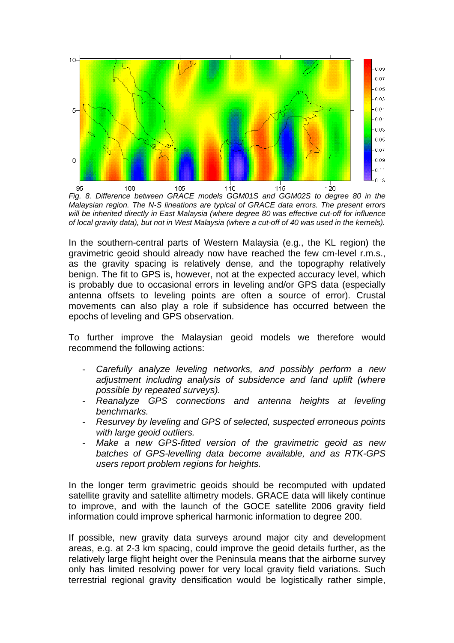

*Fig. 8. Difference between GRACE models GGM01S and GGM02S to degree 80 in the Malaysian region. The N-S lineations are typical of GRACE data errors. The present errors will be inherited directly in East Malaysia (where degree 80 was effective cut-off for influence of local gravity data), but not in West Malaysia (where a cut-off of 40 was used in the kernels).* 

In the southern-central parts of Western Malaysia (e.g., the KL region) the gravimetric geoid should already now have reached the few cm-level r.m.s., as the gravity spacing is relatively dense, and the topography relatively benign. The fit to GPS is, however, not at the expected accuracy level, which is probably due to occasional errors in leveling and/or GPS data (especially antenna offsets to leveling points are often a source of error). Crustal movements can also play a role if subsidence has occurred between the epochs of leveling and GPS observation.

To further improve the Malaysian geoid models we therefore would recommend the following actions:

- *Carefully analyze leveling networks, and possibly perform a new adjustment including analysis of subsidence and land uplift (where possible by repeated surveys).*
- *Reanalyze GPS connections and antenna heights at leveling benchmarks.*
- *Resurvey by leveling and GPS of selected, suspected erroneous points with large geoid outliers.*
- Make a new GPS-fitted version of the gravimetric geoid as new *batches of GPS-levelling data become available, and as RTK-GPS users report problem regions for heights.*

In the longer term gravimetric geoids should be recomputed with updated satellite gravity and satellite altimetry models. GRACE data will likely continue to improve, and with the launch of the GOCE satellite 2006 gravity field information could improve spherical harmonic information to degree 200.

If possible, new gravity data surveys around major city and development areas, e.g. at 2-3 km spacing, could improve the geoid details further, as the relatively large flight height over the Peninsula means that the airborne survey only has limited resolving power for very local gravity field variations. Such terrestrial regional gravity densification would be logistically rather simple,